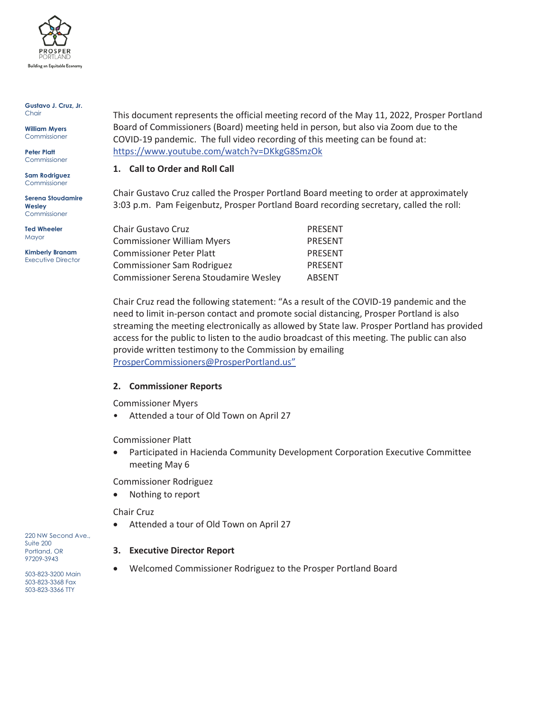

### **Gustavo J. Cruz, Jr. Chair**

**William Myers** Commissioner

**Peter Platt** Commissioner

**Sam Rodriguez** Commissioner

**Serena Stoudamire Wesley**  Commissioner

**Ted Wheeler Mayor** 

**Kimberly Branam** Executive Director This document represents the official meeting record of the May 11, 2022, Prosper Portland Board of Commissioners (Board) meeting held in person, but also via Zoom due to the COVID-19 pandemic. The full video recording of this meeting can be found at: https://www.youtube.com/watch?v=DKkgG8SmzOk

# **1. Call to Order and Roll Call**

Chair Gustavo Cruz called the Prosper Portland Board meeting to order at approximately 3:03 p.m. Pam Feigenbutz, Prosper Portland Board recording secretary, called the roll:

| Chair Gustavo Cruz                    | PRESENT        |
|---------------------------------------|----------------|
| <b>Commissioner William Myers</b>     | <b>PRESENT</b> |
| <b>Commissioner Peter Platt</b>       | <b>PRESENT</b> |
| Commissioner Sam Rodriguez            | <b>PRESENT</b> |
| Commissioner Serena Stoudamire Wesley | <b>ABSENT</b>  |

Chair Cruz read the following statement: "As a result of the COVID-19 pandemic and the need to limit in-person contact and promote social distancing, Prosper Portland is also streaming the meeting electronically as allowed by State law. Prosper Portland has provided access for the public to listen to the audio broadcast of this meeting. The public can also provide written testimony to the Commission by emailing ProsperCommissioners@ProsperPortland.us"

## **2. Commissioner Reports**

Commissioner Myers

• Attended a tour of Old Town on April 27

Commissioner Platt

• Participated in Hacienda Community Development Corporation Executive Committee meeting May 6

Commissioner Rodriguez

Nothing to report

## Chair Cruz

• Attended a tour of Old Town on April 27

**3. Executive Director Report** 

• Welcomed Commissioner Rodriguez to the Prosper Portland Board

220 NW Second Ave., Suite 200 Portland, OR 97209-3943

503-823-3200 Main 503-823-3368 Fax 503-823-3366 TTY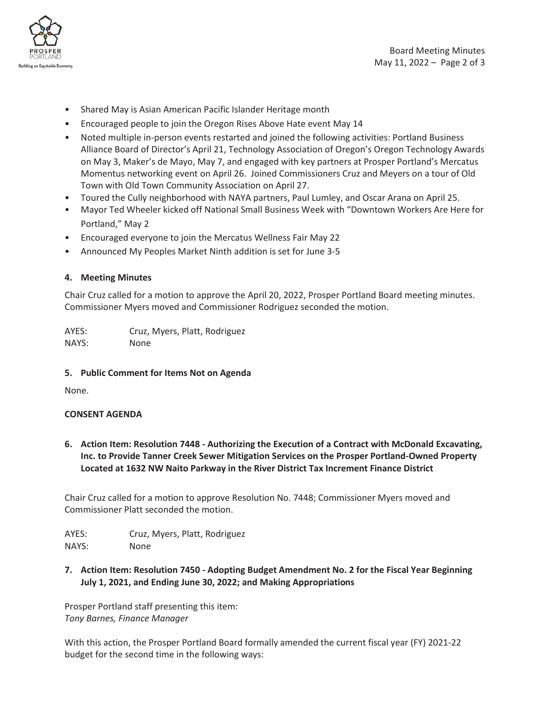

- Shared May is Asian American Pacific Islander Heritage month
- Encouraged people to join the Oregon Rises Above Hate event May 14
- Noted multiple in-person events restarted and joined the following activities: Portland Business Alliance Board of Director's April 21, Technology Association of Oregon's Oregon Technology Awards on May 3, Maker's de Mayo, May 7, and engaged with key partners at Prosper Portland's Mercatus Momentus networking event on April 26. Joined Commissioners Cruz and Meyers on a tour of Old Town with Old Town Community Association on April 27.
- Toured the Cully neighborhood with NAYA partners, Paul Lumley, and Oscar Arana on April 25.
- Mayor Ted Wheeler kicked off National Small Business Week with "Downtown Workers Are Here for Portland," May 2
- Encouraged everyone to join the Mercatus Wellness Fair May 22
- Announced My Peoples Market Ninth addition is set for June 3-5

## **4. Meeting Minutes**

Chair Cruz called for a motion to approve the April 20, 2022, Prosper Portland Board meeting minutes. Commissioner Myers moved and Commissioner Rodriguez seconded the motion.

AYES: Cruz, Myers, Platt, Rodriguez NAYS: None

## **5. Public Comment for Items Not on Agenda**

None.

## **CONSENT AGENDA**

**6. Action Item: Resolution 7448 - Authorizing the Execution of a Contract with McDonald Excavating, Inc. to Provide Tanner Creek Sewer Mitigation Services on the Prosper Portland-Owned Property Located at 1632 NW Naito Parkway in the River District Tax Increment Finance District** 

Chair Cruz called for a motion to approve Resolution No. 7448; Commissioner Myers moved and Commissioner Platt seconded the motion.

AYES: Cruz, Myers, Platt, Rodriguez NAYS: None

**7. Action Item: Resolution 7450 - Adopting Budget Amendment No. 2 for the Fiscal Year Beginning** 

**July 1, 2021, and Ending June 30, 2022; and Making Appropriations** 

Prosper Portland staff presenting this item: *Tony Barnes, Finance Manager* 

With this action, the Prosper Portland Board formally amended the current fiscal year (FY) 2021-22 budget for the second time in the following ways: